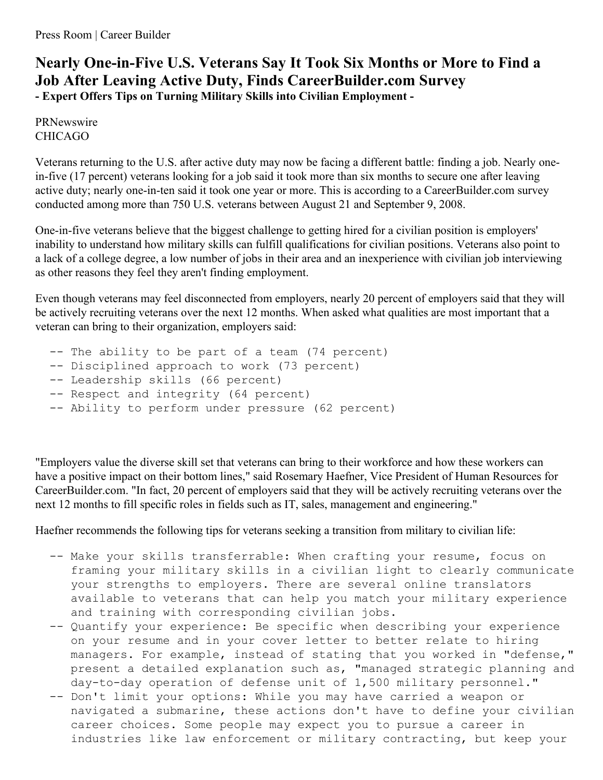## **Nearly One-in-Five U.S. Veterans Say It Took Six Months or More to Find a Job After Leaving Active Duty, Finds CareerBuilder.com Survey - Expert Offers Tips on Turning Military Skills into Civilian Employment -**

PRNewswire CHICAGO

Veterans returning to the U.S. after active duty may now be facing a different battle: finding a job. Nearly onein-five (17 percent) veterans looking for a job said it took more than six months to secure one after leaving active duty; nearly one-in-ten said it took one year or more. This is according to a CareerBuilder.com survey conducted among more than 750 U.S. veterans between August 21 and September 9, 2008.

One-in-five veterans believe that the biggest challenge to getting hired for a civilian position is employers' inability to understand how military skills can fulfill qualifications for civilian positions. Veterans also point to a lack of a college degree, a low number of jobs in their area and an inexperience with civilian job interviewing as other reasons they feel they aren't finding employment.

Even though veterans may feel disconnected from employers, nearly 20 percent of employers said that they will be actively recruiting veterans over the next 12 months. When asked what qualities are most important that a veteran can bring to their organization, employers said:

- -- The ability to be part of a team (74 percent)
- -- Disciplined approach to work (73 percent)
- -- Leadership skills (66 percent)
- -- Respect and integrity (64 percent)
- -- Ability to perform under pressure (62 percent)

"Employers value the diverse skill set that veterans can bring to their workforce and how these workers can have a positive impact on their bottom lines," said Rosemary Haefner, Vice President of Human Resources for CareerBuilder.com. "In fact, 20 percent of employers said that they will be actively recruiting veterans over the next 12 months to fill specific roles in fields such as IT, sales, management and engineering."

Haefner recommends the following tips for veterans seeking a transition from military to civilian life:

- -- Make your skills transferrable: When crafting your resume, focus on framing your military skills in a civilian light to clearly communicate your strengths to employers. There are several online translators available to veterans that can help you match your military experience and training with corresponding civilian jobs.
- -- Quantify your experience: Be specific when describing your experience on your resume and in your cover letter to better relate to hiring managers. For example, instead of stating that you worked in "defense," present a detailed explanation such as, "managed strategic planning and day-to-day operation of defense unit of 1,500 military personnel."
- -- Don't limit your options: While you may have carried a weapon or navigated a submarine, these actions don't have to define your civilian career choices. Some people may expect you to pursue a career in industries like law enforcement or military contracting, but keep your